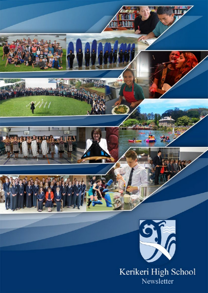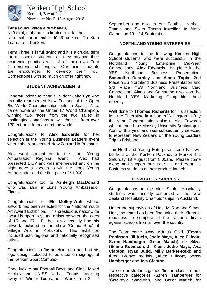

Kerikeri High School

Newsletter No. 5, 16 August 2018 Kerikeri, Bay of Islands

Tēnā koutou katoa e te whānau,

Ngā mihi, mahana ki a koutou o te tau hou. Nau mai haere mai ki tā tātou kura, Te Kura Tuarua o te Kerikeri.

Term Three is in full swing and it is a crucial term for our senior students as they balance their academic priorities with all of their own Four Cornerstones challenges. Our junior students are encouraged to develop their Four Cornerstones with so much on offer right now.

### **STUDENT ACHIEVEMENTS**

Congratulations to Year 8 Student **Jake Pye** who recently represented New Zealand at the Open Bic World Championships held in Spain. Jake came home as the Under 17 World Champion, winning two races from the two sailed in challenging conditions to win the title from over 130 entrants from around the world.

Congratulations to **Alex Edwards** for her selection in the Young Business Leaders event where she represented New Zealand in Brisbane

Alex went straight on to the Lions Young Ambassador Regional event. Alex had presented a CV and was interviewed and on the night gave a speech to win the Lions Young Ambassador and the first prize of \$1,000.

Congratulations too, to **Ashleigh MacDonald** who was also a Lions Young Ambassador Finalist.

Congratulations to **Eli Molloy-Wolt** whose artwork has been selected for the National Youth Art Award Exhibition. This prestigious nationwide award is open to young artists between the ages of 15 and 27. Eli has also recently had his artwork included in the show 'Comic Strip' at Village Arts in Kohukohu. This exhibition included both regional and nationally recognised artists.

Congratulations to **Jason Hori** who has had his logo design selected to be used on signage at the Kerikeri Sport Complex.

Good luck to our Football Boys' and Girls,' Mixed Hockey and UNISS Netball Teams travelling away for Winter Tournament Week from 3 – 7

September and also to our Football, Netball, Tennis and Swim Teams travelling to Aims' Games on 10 – 14 September.

#### **NORTHLAND YOUNG ENTERPRISE**

Congratulations to the following Kerikeri High School students who were successful in the Northland Young Enterprise Mid-Year Competitions; **Alex Edwards**, 1st place in the YES Northland Business Presentation, **Samantha Dearnley** and **Alana Tapia**, 2nd Place YES Northland Business Presentation and 3rd Place YES Northland Business Card Competition. Alana and Samantha also won the Northland YES Marketing Competition held recently.

Well done to **Thomas Richards** for his selection into the Enterprise in Action in Wellington in July this year. Congratulations also to Alex Edwards who attended the Massey University Bootcamp in April of this year and was subsequently selected to represent New Zealand on the Young Leaders Trip to Brisbane.

The Northland Young Enterprise Trade Fair will be held at the Kerikeri Packhouse Market this Saturday 18 August from 8.00am. Please come along and support our Year 12 and Year 13 Business students at their product launch.

#### **HOSPITALITY SUCCESS**

Congratulations to the nine Senior Hospitality students who recently competed at the New Zealand Hospitality Championships in Auckland.

Under the supervision of Noel McRae and Simon Hart, the team has been finetuning their efforts in readiness to compete at the National finals against schools from all over the country.

The Team came away with six Gold, (**Emma Robinson, Jil Klein, Jodie Mays, Alice Ellicott, Szren Hamberger, Greer Matich**), six Silver (**Emma Robinson, Jil Klein, Jodie Mays, Ava Clapton, Ryan Judd, Milly Barker-Reid**) and three Bronze medals (**Alice Ellicott, Szren Hamberger** and **Ava Clapton**.

Two of our students gained 'first in class' in their respective categories (**Szren Hamberger** for 'Café-style Sandwich, and **Greer Matich** for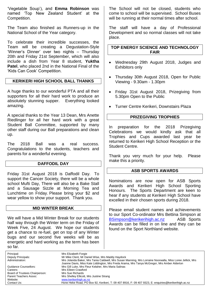'Vegetable Soup'), and **Emma Robinson** was named 'Top New Zealand Student' at the Competition.

The Team also finished as Runners-up in the National School of the Year category.

To celebrate their incredible successes, the Team will be creating a Degustation-Style 'Winner's Dinner' over two nights – Thursday 20th and Friday 21st September, which will also include a dish from Year 8 student, **Yuktha Patel**, who placed 2nd in the National Final of the 'Kids Can Cook' Competition.

### **KERIKERI HIGH SCHOOL BALL THANKS**

A huge thanks to our wonderful PTA and all their supporters for all their hard work to produce an absolutely stunning supper. Everything looked amazing.

A special thanks to the Year 13 Dean, Mrs Anette Riedlinger for all her hard work with a great Student Ball Committee, supported by many other staff during our Ball preparations and clean up.

The 2018 Ball was a real success. Congratulations to the students, teachers and parents for a wonderful evening.

### **DAFFODIL DAY**

Friday 31st August 2018 is Daffodil Day. To support the Cancer Society, there will be a whole school Mufti Day, There will also be a Bake Stall and a Sausage Sizzle at Morning Tea and Lunchtime on Friday. Please bring your \$2 and wear yellow to show your support. Thank you.

#### **MID WINTER BREAK**

We will have a Mid Winter Break for our students half way through the Winter term on the Friday of Week Five, 24 August. We hope our students get a chance to re-fuel, get on top of any Winter bugs and our second five weeks will be as energetic and hard working as the term has been so far.

The School will not be closed, students who come to school will be supervised. School Buses will be running at their normal times after school.

The staff will have a day of Professional Development and so normal classes will not take place.

**TOP ENERGY SCIENCE AND TECHNOLOGY FAIR**

- Wednesday 29th August 2018, Judges and Exhibitors only
- Thursday 30th August 2018, Open for Public Viewing - 9.30am - 1.30pm
- Friday 31st August 2018, Prizegiving from 5.30pm Open to the Public
- Turner Centre Kerikeri, Downstairs Plaza

# **PRIZEGIVING TROPHIES**

In preparation for the 2018 Prizegiving Celebrations we would kindly ask that all Trophies and Cups awarded last year be returned to Kerikeri High School Reception or the Student Centre.

Thank you very much for your help. Please make this a priority.

# **ASB SPORTS AWARDS**

Nominations are now open for ASB Sports Awards and Kerikeri High School Sporting Honours. The Sports Department are keen to hear if any students at Kerikeri High School have excelled in their chosen sports during 2018.

Please email student names and achievements to our Sport Co-ordinator Mrs Bettina Simpson at [BSimpson@kerikerihigh.ac.nz](mailto:BSimpson@kerikerihigh.ac.nz) ASB Sports Awards can be filled in on line and they can be found on the Sport Northland website.

Principal: Mrs Elizabeth Forgie<br>
Deputy Principals: Mr Mike Clent, Mr Da Deputy Principals: Mr Mike Clent, Mr Daniel Wise, Mrs Maddy Haydock Administration: Mrs Jolanda Baker, Mrs Tania Caldwell, Mrs Susan Manning, Mrs Lorraine Noorwalla, Miss Loree Jellick, Mrs Joanne Davis, Miss Kate Liddington, Mrs Freda Arama, Mrs Tanya McGregor, Mrs Amber Alderton Guidance Counsellors: Mrs Gill Luke, Mrs Fleur Kelaher, Mrs Maria Salinas<br>Careers: Mrs Fileen Crawford Mrs Eileen Crawford Board of Trustees Chairperson: Mrs Sue Richards Parent Teachers Assoc: Mrs Shelley Ellicott, Mrs Justine Strang<br>
Website: Website: Website: Www.kerikerihigh.ac.nz Website: [www.kerikerihigh.ac.nz](http://www.kerikerihigh.ac.nz/)<br>Contact Us: Contact Us: Contact Us: Contact Us: Contact Us: Contact Us: Contact Us: Contact Us: Contact Us: Co Hone Heke Road, PO Box 92, Kerikeri, T: 09 407 8916, F: 09 407 9323, E: enquiries@kerikerihigh.ac.nz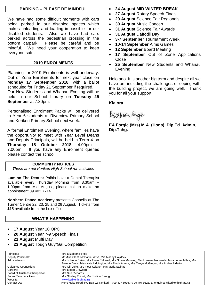#### **PARKING – PLEASE BE MINDFUL**

We have had some difficult moments with cars being parked in our disabled spaces which makes unloading and loading impossible for our disabled students. Also we have had cars parked across the pedestrian crossing in the bottom carpark. Please be careful and be mindful. We need your cooperation to keep everyone safe.

### **2019 ENROLMENTS**

Planning for 2019 Enrolments is well underway. Out of Zone Enrolments for next year close on **Monday 17 September 2018**, with a ballot scheduled for Friday 21 September if required. Our New Students and Whanau Evening will be held in our School Library on **Tuesday 25 September** at 7.30pm.

Personalised Enrolment Packs will be delivered to Year 6 students at Riverview Primary School and Kerikeri Primary School next week.

A formal Enrolment Evening, where families have the opportunity to meet with Year Level Deans and Deputy Principals, will be held in Term 4 on **Thursday 18 October 2018**, 4.00pm – 7.00pm. If you have any Enrolment queries please contact the school.

### **COMMUNITY NOTICES**

*These are not Kerikeri High School run activities*

**Lumino The Dentist** Paihia have a Dental Therapist available every Thursday Morning from 8.30am – 1.00pm from Mid August, please call to make an appointment 09 402 7714.

**Northern Dance Academy** presents Coppelia at The Turner Centre 22, 23, 25 and 26 August. Tickets from \$15 available from the box office.

### **WHAT'S HAPPENING**

- **17 August** Year 10 OPC
- **20 August** Year 7-9 Speech Finals
- **21 August** Mufti Day
- **23 August** Tough Guy/Gal Competition
- **24 August MID WINTER BREAK**
- **27 August** Rotary Speech Finals
- **29 August** Science Fair Regionals
- **30 August** Music Concert
- **31 August** Science Fair Awards
- **31 August** Daffodil Day
- **3-7 September** Tournament Week
- **10-14 September** Aims Games
- **12 September** Board Meeting
- **17 September** Out of Zone Applications **Close**
- **25 September** New Students and Whanau Evening

Heio ano. It is another big term and despite all we have on, including the challenges of coping with the building project, we are going well. Thank you for all your support.

# **Kia ora**

bijaben Forgie

**EA Forgie (Mrs) M.A. (Hons), Dip.Ed .Admin, Dip.Tchg.**

Principal: Mrs Elizabeth Forgie<br>
Deputy Principals: Mr Mike Clent, Mr Da Deputy Principals: Mr Mike Clent, Mr Daniel Wise, Mrs Maddy Haydock Administration: Mrs Jolanda Baker, Mrs Tania Caldwell, Mrs Susan Manning, Mrs Lorraine Noorwalla, Miss Loree Jellick, Mrs Joanne Davis, Miss Kate Liddington, Mrs Freda Arama, Mrs Tanya McGregor, Mrs Amber Alderton Guidance Counsellors: Mrs Gill Luke, Mrs Fleur Kelaher, Mrs Maria Salinas<br>Careers: Mrs Fileen Crawford Mrs Eileen Crawford Parent Teachers Assoc: Mrs Shelley Ellicott, Mrs Justine Strang<br>
Website: Website: Website: Www.kerikerihigh.ac.nz Hone Heke Road, PO Box 92, Kerikeri, T: 09 407 8916, F: 09 407 9323, E: enquiries@kerikerihigh.ac.nz

Board of Trustees Chairperson: Mrs Sue Richards Website: [www.kerikerihigh.ac.nz](http://www.kerikerihigh.ac.nz/)<br>Contact Us: Contact Us: Contact Us: Contact Us: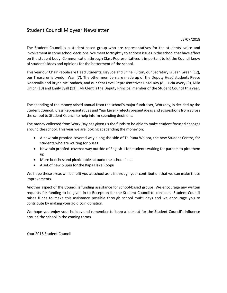# Student Council Midyear Newsletter

#### 03/07/2018

The Student Council is a student-based group who are representatives for the students' voice and involvement in some school decisions. We meet fortnightly to address issues in the school that have effect on the student body. Communication through Class Representatives is important to let the Council know of student's ideas and opinions for the betterment of the school.

This year our Chair People are Head Students, Issy Joe and Shine Fulton, our Secretary is Leah Green (12), our Treasurer is Lyndon Wan (7). The other members are made up of the Deputy Head students Reece Noorwalla and Bryna McCondach, and our Year Level Representatives Hazel Kay (8), Lucia Avery (9), Mila Urlich (10) and Emily Lyall (11). Mr Clent is the Deputy Principal member of the Student Council this year.

The spending of the money raised annual from the school's major fundraiser, Workday, is decided by the Student Council. Class Representatives and Year Level Prefects present ideas and suggestions from across the school to Student Council to help inform spending decisions.

The money collected from Work Day has given us the funds to be able to make student focused changes around the school. This year we are looking at spending the money on:

- A new rain proofed covered way along the side of Te Puna Waiora, the new Student Centre, for students who are waiting for buses
- New rain proofed covered way outside of English 1 for students waiting for parents to pick them up
- More benches and picnic tables around the school fields
- A set of new piupiu for the Kapa Haka Roopu

We hope these areas will benefit you at school as it is through your contribution that we can make these improvements.

Another aspect of the Council is funding assistance for school-based groups. We encourage any written requests for funding to be given in to Reception for the Student Council to consider. Student Council raises funds to make this assistance possible through school mufti days and we encourage you to contribute by making your gold coin donation.

We hope you enjoy your holiday and remember to keep a lookout for the Student Council's influence around the school in the coming terms.

Your 2018 Student Council